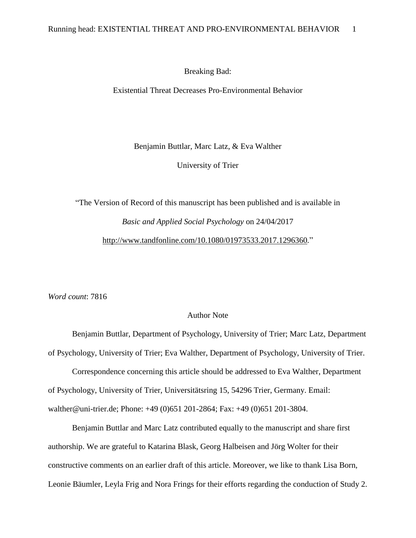Breaking Bad:

Existential Threat Decreases Pro-Environmental Behavior

Benjamin Buttlar, Marc Latz, & Eva Walther

University of Trier

"The Version of Record of this manuscript has been published and is available in *Basic and Applied Social Psychology* on 24/04/2017 <http://www.tandfonline.com/10.1080/01973533.2017.1296360>*.*"

*Word count*: 7816

## Author Note

Benjamin Buttlar, Department of Psychology, University of Trier; Marc Latz, Department of Psychology, University of Trier; Eva Walther, Department of Psychology, University of Trier.

Correspondence concerning this article should be addressed to Eva Walther, Department of Psychology, University of Trier, Universitätsring 15, 54296 Trier, Germany. Email: walther@uni-trier.de; Phone: +49 (0)651 201-2864; Fax: +49 (0)651 201-3804.

Benjamin Buttlar and Marc Latz contributed equally to the manuscript and share first authorship. We are grateful to Katarina Blask, Georg Halbeisen and Jörg Wolter for their constructive comments on an earlier draft of this article. Moreover, we like to thank Lisa Born, Leonie Bäumler, Leyla Frig and Nora Frings for their efforts regarding the conduction of Study 2.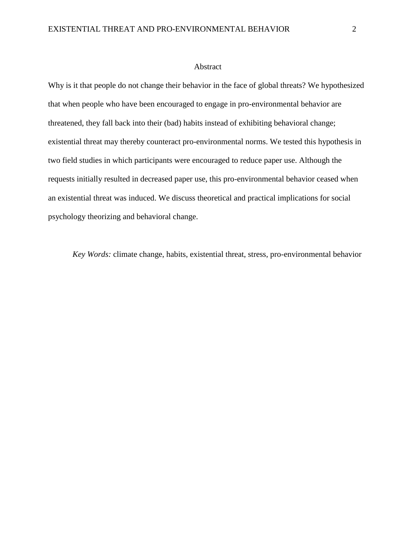#### Abstract

Why is it that people do not change their behavior in the face of global threats? We hypothesized that when people who have been encouraged to engage in pro-environmental behavior are threatened, they fall back into their (bad) habits instead of exhibiting behavioral change; existential threat may thereby counteract pro-environmental norms. We tested this hypothesis in two field studies in which participants were encouraged to reduce paper use. Although the requests initially resulted in decreased paper use, this pro-environmental behavior ceased when an existential threat was induced. We discuss theoretical and practical implications for social psychology theorizing and behavioral change.

*Key Words:* climate change, habits, existential threat, stress, pro-environmental behavior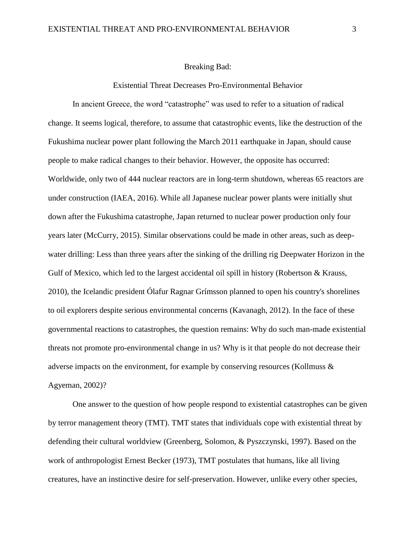#### Breaking Bad:

#### Existential Threat Decreases Pro-Environmental Behavior

In ancient Greece, the word "catastrophe" was used to refer to a situation of radical change. It seems logical, therefore, to assume that catastrophic events, like the destruction of the Fukushima nuclear power plant following the March 2011 earthquake in Japan, should cause people to make radical changes to their behavior. However, the opposite has occurred: Worldwide, only two of 444 nuclear reactors are in long-term shutdown, whereas 65 reactors are under construction (IAEA, 2016). While all Japanese nuclear power plants were initially shut down after the Fukushima catastrophe, Japan returned to nuclear power production only four years later (McCurry, 2015). Similar observations could be made in other areas, such as deepwater drilling: Less than three years after the sinking of the drilling rig Deepwater Horizon in the Gulf of Mexico, which led to the largest accidental oil spill in history (Robertson & Krauss, 2010), the Icelandic president Ólafur Ragnar Grímsson planned to open his country's shorelines to oil explorers despite serious environmental concerns (Kavanagh, 2012). In the face of these governmental reactions to catastrophes, the question remains: Why do such man-made existential threats not promote pro-environmental change in us? Why is it that people do not decrease their adverse impacts on the environment, for example by conserving resources (Kollmuss & Agyeman, 2002)?

One answer to the question of how people respond to existential catastrophes can be given by terror management theory (TMT). TMT states that individuals cope with existential threat by defending their cultural worldview (Greenberg, Solomon, & Pyszczynski, 1997). Based on the work of anthropologist Ernest Becker (1973), TMT postulates that humans, like all living creatures, have an instinctive desire for self-preservation. However, unlike every other species,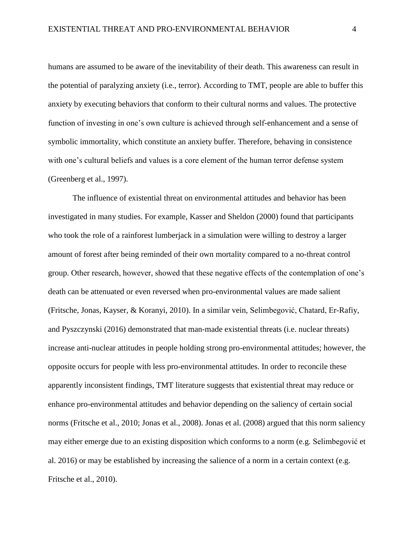humans are assumed to be aware of the inevitability of their death. This awareness can result in the potential of paralyzing anxiety (i.e., terror). According to TMT, people are able to buffer this anxiety by executing behaviors that conform to their cultural norms and values. The protective function of investing in one's own culture is achieved through self-enhancement and a sense of symbolic immortality, which constitute an anxiety buffer. Therefore, behaving in consistence with one's cultural beliefs and values is a core element of the human terror defense system (Greenberg et al., 1997).

The influence of existential threat on environmental attitudes and behavior has been investigated in many studies. For example, Kasser and Sheldon (2000) found that participants who took the role of a rainforest lumberjack in a simulation were willing to destroy a larger amount of forest after being reminded of their own mortality compared to a no-threat control group. Other research, however, showed that these negative effects of the contemplation of one's death can be attenuated or even reversed when pro-environmental values are made salient (Fritsche, Jonas, Kayser, & Koranyi, 2010). In a similar vein, Selimbegović, Chatard, Er-Rafiy, and Pyszczynski (2016) demonstrated that man-made existential threats (i.e. nuclear threats) increase anti-nuclear attitudes in people holding strong pro-environmental attitudes; however, the opposite occurs for people with less pro-environmental attitudes. In order to reconcile these apparently inconsistent findings, TMT literature suggests that existential threat may reduce or enhance pro-environmental attitudes and behavior depending on the saliency of certain social norms (Fritsche et al., 2010; Jonas et al., 2008). Jonas et al. (2008) argued that this norm saliency may either emerge due to an existing disposition which conforms to a norm (e.g. Selimbegović et al. 2016) or may be established by increasing the salience of a norm in a certain context (e.g. Fritsche et al., 2010).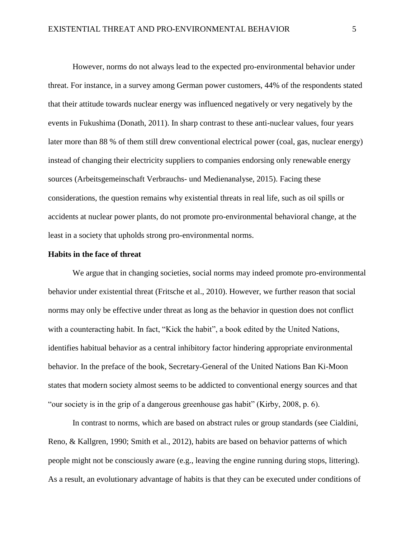However, norms do not always lead to the expected pro-environmental behavior under threat. For instance, in a survey among German power customers, 44% of the respondents stated that their attitude towards nuclear energy was influenced negatively or very negatively by the events in Fukushima (Donath, 2011). In sharp contrast to these anti-nuclear values, four years later more than 88 % of them still drew conventional electrical power (coal, gas, nuclear energy) instead of changing their electricity suppliers to companies endorsing only renewable energy sources (Arbeitsgemeinschaft Verbrauchs- und Medienanalyse, 2015). Facing these considerations, the question remains why existential threats in real life, such as oil spills or accidents at nuclear power plants, do not promote pro-environmental behavioral change, at the least in a society that upholds strong pro-environmental norms.

#### **Habits in the face of threat**

We argue that in changing societies, social norms may indeed promote pro-environmental behavior under existential threat (Fritsche et al., 2010). However, we further reason that social norms may only be effective under threat as long as the behavior in question does not conflict with a counteracting habit. In fact, "Kick the habit", a book edited by the United Nations, identifies habitual behavior as a central inhibitory factor hindering appropriate environmental behavior. In the preface of the book, Secretary-General of the United Nations Ban Ki-Moon states that modern society almost seems to be addicted to conventional energy sources and that "our society is in the grip of a dangerous greenhouse gas habit" (Kirby, 2008, p. 6).

In contrast to norms, which are based on abstract rules or group standards (see Cialdini, Reno, & Kallgren, 1990; Smith et al., 2012), habits are based on behavior patterns of which people might not be consciously aware (e.g., leaving the engine running during stops, littering). As a result, an evolutionary advantage of habits is that they can be executed under conditions of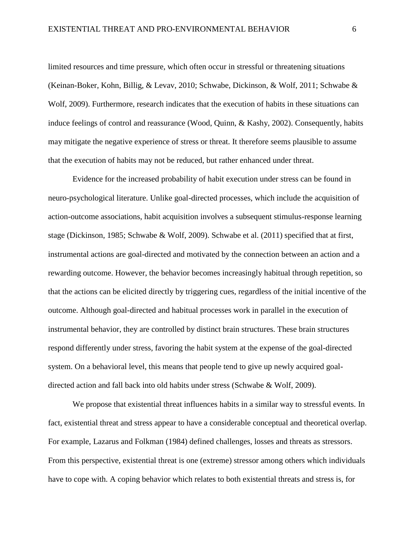limited resources and time pressure, which often occur in stressful or threatening situations (Keinan-Boker, Kohn, Billig, & Levav, 2010; Schwabe, Dickinson, & Wolf, 2011; Schwabe & Wolf, 2009). Furthermore, research indicates that the execution of habits in these situations can induce feelings of control and reassurance (Wood, Quinn, & Kashy, 2002). Consequently, habits may mitigate the negative experience of stress or threat. It therefore seems plausible to assume that the execution of habits may not be reduced, but rather enhanced under threat.

Evidence for the increased probability of habit execution under stress can be found in neuro-psychological literature. Unlike goal-directed processes, which include the acquisition of action-outcome associations, habit acquisition involves a subsequent stimulus-response learning stage (Dickinson, 1985; Schwabe & Wolf, 2009). Schwabe et al. (2011) specified that at first, instrumental actions are goal-directed and motivated by the connection between an action and a rewarding outcome. However, the behavior becomes increasingly habitual through repetition, so that the actions can be elicited directly by triggering cues, regardless of the initial incentive of the outcome. Although goal-directed and habitual processes work in parallel in the execution of instrumental behavior, they are controlled by distinct brain structures. These brain structures respond differently under stress, favoring the habit system at the expense of the goal-directed system. On a behavioral level, this means that people tend to give up newly acquired goaldirected action and fall back into old habits under stress (Schwabe & Wolf, 2009).

We propose that existential threat influences habits in a similar way to stressful events. In fact, existential threat and stress appear to have a considerable conceptual and theoretical overlap. For example, Lazarus and Folkman (1984) defined challenges, losses and threats as stressors. From this perspective, existential threat is one (extreme) stressor among others which individuals have to cope with. A coping behavior which relates to both existential threats and stress is, for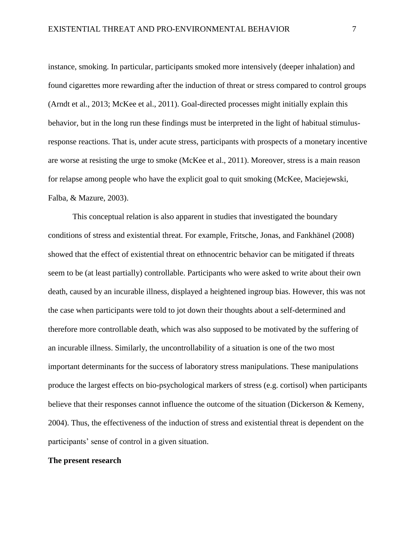instance, smoking. In particular, participants smoked more intensively (deeper inhalation) and found cigarettes more rewarding after the induction of threat or stress compared to control groups (Arndt et al., 2013; McKee et al., 2011). Goal-directed processes might initially explain this behavior, but in the long run these findings must be interpreted in the light of habitual stimulusresponse reactions. That is, under acute stress, participants with prospects of a monetary incentive are worse at resisting the urge to smoke (McKee et al., 2011). Moreover, stress is a main reason for relapse among people who have the explicit goal to quit smoking (McKee, Maciejewski, Falba, & Mazure, 2003).

This conceptual relation is also apparent in studies that investigated the boundary conditions of stress and existential threat. For example, Fritsche, Jonas, and Fankhänel (2008) showed that the effect of existential threat on ethnocentric behavior can be mitigated if threats seem to be (at least partially) controllable. Participants who were asked to write about their own death, caused by an incurable illness, displayed a heightened ingroup bias. However, this was not the case when participants were told to jot down their thoughts about a self-determined and therefore more controllable death, which was also supposed to be motivated by the suffering of an incurable illness. Similarly, the uncontrollability of a situation is one of the two most important determinants for the success of laboratory stress manipulations. These manipulations produce the largest effects on bio-psychological markers of stress (e.g. cortisol) when participants believe that their responses cannot influence the outcome of the situation (Dickerson & Kemeny, 2004). Thus, the effectiveness of the induction of stress and existential threat is dependent on the participants' sense of control in a given situation.

#### **The present research**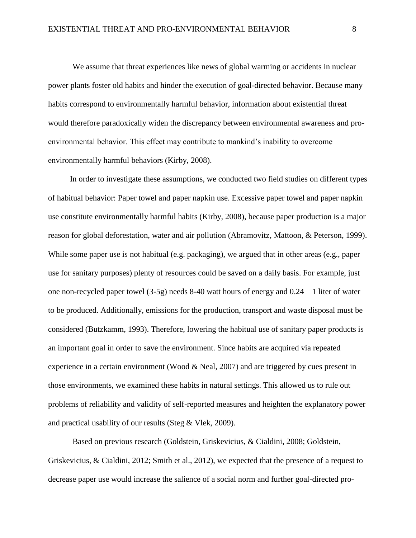We assume that threat experiences like news of global warming or accidents in nuclear power plants foster old habits and hinder the execution of goal-directed behavior. Because many habits correspond to environmentally harmful behavior, information about existential threat would therefore paradoxically widen the discrepancy between environmental awareness and proenvironmental behavior. This effect may contribute to mankind's inability to overcome environmentally harmful behaviors (Kirby, 2008).

In order to investigate these assumptions, we conducted two field studies on different types of habitual behavior: Paper towel and paper napkin use. Excessive paper towel and paper napkin use constitute environmentally harmful habits (Kirby, 2008), because paper production is a major reason for global deforestation, water and air pollution (Abramovitz, Mattoon, & Peterson, 1999). While some paper use is not habitual (e.g. packaging), we argued that in other areas (e.g., paper use for sanitary purposes) plenty of resources could be saved on a daily basis. For example, just one non-recycled paper towel (3-5g) needs 8-40 watt hours of energy and 0.24 – 1 liter of water to be produced. Additionally, emissions for the production, transport and waste disposal must be considered (Butzkamm, 1993). Therefore, lowering the habitual use of sanitary paper products is an important goal in order to save the environment. Since habits are acquired via repeated experience in a certain environment (Wood & Neal, 2007) and are triggered by cues present in those environments, we examined these habits in natural settings. This allowed us to rule out problems of reliability and validity of self-reported measures and heighten the explanatory power and practical usability of our results (Steg & Vlek, 2009).

Based on previous research (Goldstein, Griskevicius, & Cialdini, 2008; Goldstein, Griskevicius, & Cialdini, 2012; Smith et al., 2012), we expected that the presence of a request to decrease paper use would increase the salience of a social norm and further goal-directed pro-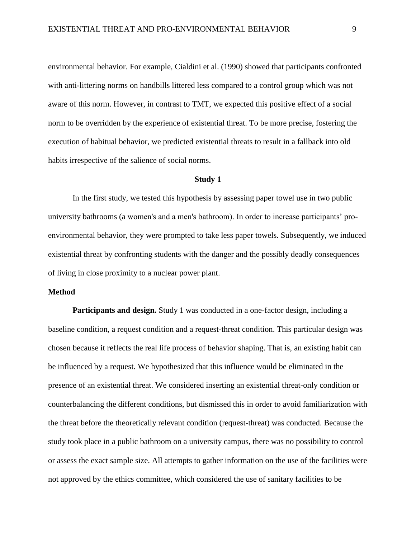environmental behavior. For example, Cialdini et al. (1990) showed that participants confronted with anti-littering norms on handbills littered less compared to a control group which was not aware of this norm. However, in contrast to TMT, we expected this positive effect of a social norm to be overridden by the experience of existential threat. To be more precise, fostering the execution of habitual behavior, we predicted existential threats to result in a fallback into old habits irrespective of the salience of social norms.

#### **Study 1**

In the first study, we tested this hypothesis by assessing paper towel use in two public university bathrooms (a women's and a men's bathroom). In order to increase participants' proenvironmental behavior, they were prompted to take less paper towels. Subsequently, we induced existential threat by confronting students with the danger and the possibly deadly consequences of living in close proximity to a nuclear power plant.

## **Method**

**Participants and design.** Study 1 was conducted in a one-factor design, including a baseline condition, a request condition and a request-threat condition. This particular design was chosen because it reflects the real life process of behavior shaping. That is, an existing habit can be influenced by a request. We hypothesized that this influence would be eliminated in the presence of an existential threat. We considered inserting an existential threat-only condition or counterbalancing the different conditions, but dismissed this in order to avoid familiarization with the threat before the theoretically relevant condition (request-threat) was conducted. Because the study took place in a public bathroom on a university campus, there was no possibility to control or assess the exact sample size. All attempts to gather information on the use of the facilities were not approved by the ethics committee, which considered the use of sanitary facilities to be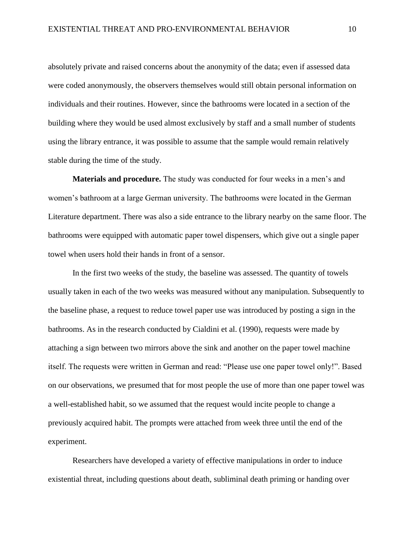absolutely private and raised concerns about the anonymity of the data; even if assessed data were coded anonymously, the observers themselves would still obtain personal information on individuals and their routines. However, since the bathrooms were located in a section of the building where they would be used almost exclusively by staff and a small number of students using the library entrance, it was possible to assume that the sample would remain relatively stable during the time of the study.

**Materials and procedure.** The study was conducted for four weeks in a men's and women's bathroom at a large German university. The bathrooms were located in the German Literature department. There was also a side entrance to the library nearby on the same floor. The bathrooms were equipped with automatic paper towel dispensers, which give out a single paper towel when users hold their hands in front of a sensor.

In the first two weeks of the study, the baseline was assessed. The quantity of towels usually taken in each of the two weeks was measured without any manipulation. Subsequently to the baseline phase, a request to reduce towel paper use was introduced by posting a sign in the bathrooms. As in the research conducted by Cialdini et al. (1990), requests were made by attaching a sign between two mirrors above the sink and another on the paper towel machine itself. The requests were written in German and read: "Please use one paper towel only!". Based on our observations, we presumed that for most people the use of more than one paper towel was a well-established habit, so we assumed that the request would incite people to change a previously acquired habit. The prompts were attached from week three until the end of the experiment.

Researchers have developed a variety of effective manipulations in order to induce existential threat, including questions about death, subliminal death priming or handing over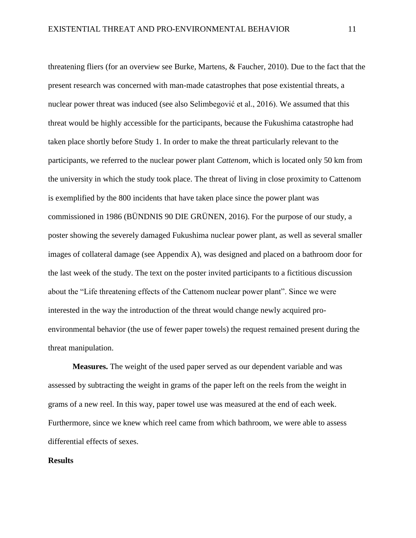threatening fliers (for an overview see Burke, Martens, & Faucher, 2010). Due to the fact that the present research was concerned with man-made catastrophes that pose existential threats, a nuclear power threat was induced (see also Selimbegović et al., 2016). We assumed that this threat would be highly accessible for the participants, because the Fukushima catastrophe had taken place shortly before Study 1. In order to make the threat particularly relevant to the participants, we referred to the nuclear power plant *Cattenom*, which is located only 50 km from the university in which the study took place. The threat of living in close proximity to Cattenom is exemplified by the 800 incidents that have taken place since the power plant was commissioned in 1986 (BÜNDNIS 90 DIE GRÜNEN, 2016). For the purpose of our study, a poster showing the severely damaged Fukushima nuclear power plant, as well as several smaller images of collateral damage (see Appendix A), was designed and placed on a bathroom door for the last week of the study. The text on the poster invited participants to a fictitious discussion about the "Life threatening effects of the Cattenom nuclear power plant". Since we were interested in the way the introduction of the threat would change newly acquired proenvironmental behavior (the use of fewer paper towels) the request remained present during the threat manipulation.

**Measures.** The weight of the used paper served as our dependent variable and was assessed by subtracting the weight in grams of the paper left on the reels from the weight in grams of a new reel. In this way, paper towel use was measured at the end of each week. Furthermore, since we knew which reel came from which bathroom, we were able to assess differential effects of sexes.

#### **Results**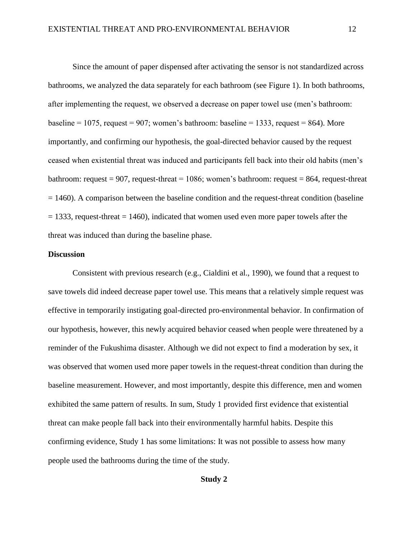Since the amount of paper dispensed after activating the sensor is not standardized across bathrooms, we analyzed the data separately for each bathroom (see Figure 1). In both bathrooms, after implementing the request, we observed a decrease on paper towel use (men's bathroom: baseline  $= 1075$ , request  $= 907$ ; women's bathroom: baseline  $= 1333$ , request  $= 864$ ). More importantly, and confirming our hypothesis, the goal-directed behavior caused by the request ceased when existential threat was induced and participants fell back into their old habits (men's bathroom: request = 907, request-threat = 1086; women's bathroom: request = 864, request-threat  $= 1460$ ). A comparison between the baseline condition and the request-threat condition (baseline  $= 1333$ , request-threat  $= 1460$ ), indicated that women used even more paper towels after the threat was induced than during the baseline phase.

## **Discussion**

Consistent with previous research (e.g., Cialdini et al., 1990), we found that a request to save towels did indeed decrease paper towel use. This means that a relatively simple request was effective in temporarily instigating goal-directed pro-environmental behavior. In confirmation of our hypothesis, however, this newly acquired behavior ceased when people were threatened by a reminder of the Fukushima disaster. Although we did not expect to find a moderation by sex, it was observed that women used more paper towels in the request-threat condition than during the baseline measurement. However, and most importantly, despite this difference, men and women exhibited the same pattern of results. In sum, Study 1 provided first evidence that existential threat can make people fall back into their environmentally harmful habits. Despite this confirming evidence, Study 1 has some limitations: It was not possible to assess how many people used the bathrooms during the time of the study.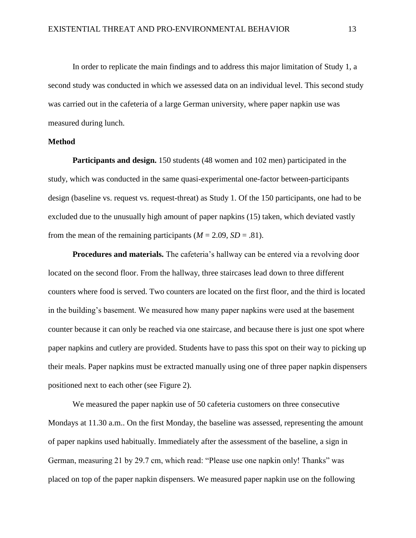In order to replicate the main findings and to address this major limitation of Study 1, a second study was conducted in which we assessed data on an individual level. This second study was carried out in the cafeteria of a large German university, where paper napkin use was measured during lunch.

## **Method**

**Participants and design.** 150 students (48 women and 102 men) participated in the study, which was conducted in the same quasi-experimental one-factor between-participants design (baseline vs. request vs. request-threat) as Study 1. Of the 150 participants, one had to be excluded due to the unusually high amount of paper napkins (15) taken, which deviated vastly from the mean of the remaining participants  $(M = 2.09, SD = .81)$ .

**Procedures and materials.** The cafeteria's hallway can be entered via a revolving door located on the second floor. From the hallway, three staircases lead down to three different counters where food is served. Two counters are located on the first floor, and the third is located in the building's basement. We measured how many paper napkins were used at the basement counter because it can only be reached via one staircase, and because there is just one spot where paper napkins and cutlery are provided. Students have to pass this spot on their way to picking up their meals. Paper napkins must be extracted manually using one of three paper napkin dispensers positioned next to each other (see Figure 2).

We measured the paper napkin use of 50 cafeteria customers on three consecutive Mondays at 11.30 a.m.. On the first Monday, the baseline was assessed, representing the amount of paper napkins used habitually. Immediately after the assessment of the baseline, a sign in German, measuring 21 by 29.7 cm, which read: "Please use one napkin only! Thanks" was placed on top of the paper napkin dispensers. We measured paper napkin use on the following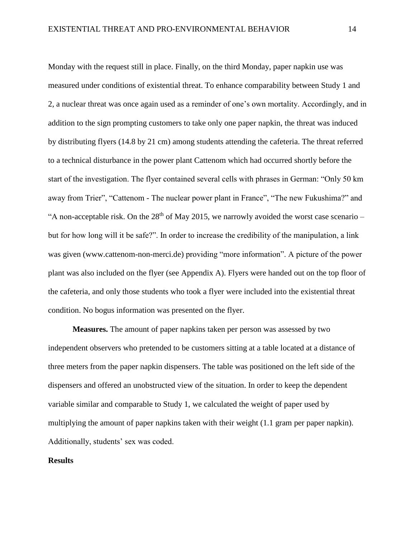Monday with the request still in place. Finally, on the third Monday, paper napkin use was measured under conditions of existential threat. To enhance comparability between Study 1 and 2, a nuclear threat was once again used as a reminder of one's own mortality. Accordingly, and in addition to the sign prompting customers to take only one paper napkin, the threat was induced by distributing flyers (14.8 by 21 cm) among students attending the cafeteria. The threat referred to a technical disturbance in the power plant Cattenom which had occurred shortly before the start of the investigation. The flyer contained several cells with phrases in German: "Only 50 km away from Trier", "Cattenom - The nuclear power plant in France", "The new Fukushima?" and "A non-acceptable risk. On the  $28<sup>th</sup>$  of May 2015, we narrowly avoided the worst case scenario – but for how long will it be safe?". In order to increase the credibility of the manipulation, a link was given (www.cattenom-non-merci.de) providing "more information". A picture of the power plant was also included on the flyer (see Appendix A). Flyers were handed out on the top floor of the cafeteria, and only those students who took a flyer were included into the existential threat condition. No bogus information was presented on the flyer.

**Measures.** The amount of paper napkins taken per person was assessed by two independent observers who pretended to be customers sitting at a table located at a distance of three meters from the paper napkin dispensers. The table was positioned on the left side of the dispensers and offered an unobstructed view of the situation. In order to keep the dependent variable similar and comparable to Study 1, we calculated the weight of paper used by multiplying the amount of paper napkins taken with their weight (1.1 gram per paper napkin). Additionally, students' sex was coded.

# **Results**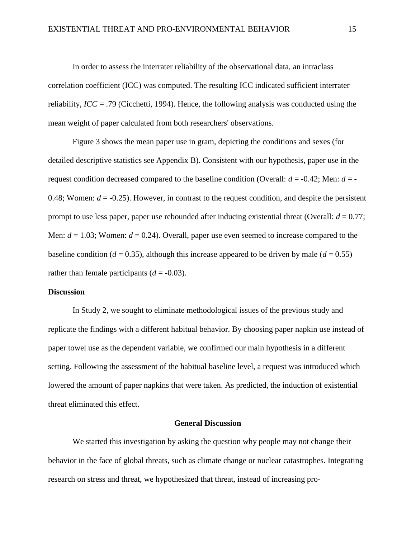In order to assess the interrater reliability of the observational data, an intraclass correlation coefficient (ICC) was computed. The resulting ICC indicated sufficient interrater reliability, *ICC* = .79 (Cicchetti, 1994). Hence, the following analysis was conducted using the mean weight of paper calculated from both researchers' observations.

Figure 3 shows the mean paper use in gram, depicting the conditions and sexes (for detailed descriptive statistics see Appendix B). Consistent with our hypothesis, paper use in the request condition decreased compared to the baseline condition (Overall:  $d = -0.42$ ; Men:  $d = -1$ 0.48; Women:  $d = -0.25$ ). However, in contrast to the request condition, and despite the persistent prompt to use less paper, paper use rebounded after inducing existential threat (Overall:  $d = 0.77$ ; Men:  $d = 1.03$ ; Women:  $d = 0.24$ ). Overall, paper use even seemed to increase compared to the baseline condition ( $d = 0.35$ ), although this increase appeared to be driven by male ( $d = 0.55$ ) rather than female participants  $(d = -0.03)$ .

#### **Discussion**

In Study 2, we sought to eliminate methodological issues of the previous study and replicate the findings with a different habitual behavior. By choosing paper napkin use instead of paper towel use as the dependent variable, we confirmed our main hypothesis in a different setting. Following the assessment of the habitual baseline level, a request was introduced which lowered the amount of paper napkins that were taken. As predicted, the induction of existential threat eliminated this effect.

#### **General Discussion**

We started this investigation by asking the question why people may not change their behavior in the face of global threats, such as climate change or nuclear catastrophes. Integrating research on stress and threat, we hypothesized that threat, instead of increasing pro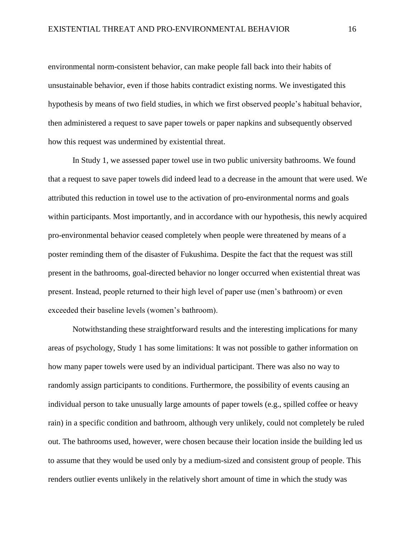environmental norm-consistent behavior, can make people fall back into their habits of unsustainable behavior, even if those habits contradict existing norms. We investigated this hypothesis by means of two field studies, in which we first observed people's habitual behavior, then administered a request to save paper towels or paper napkins and subsequently observed how this request was undermined by existential threat.

In Study 1, we assessed paper towel use in two public university bathrooms. We found that a request to save paper towels did indeed lead to a decrease in the amount that were used. We attributed this reduction in towel use to the activation of pro-environmental norms and goals within participants. Most importantly, and in accordance with our hypothesis, this newly acquired pro-environmental behavior ceased completely when people were threatened by means of a poster reminding them of the disaster of Fukushima. Despite the fact that the request was still present in the bathrooms, goal-directed behavior no longer occurred when existential threat was present. Instead, people returned to their high level of paper use (men's bathroom) or even exceeded their baseline levels (women's bathroom).

Notwithstanding these straightforward results and the interesting implications for many areas of psychology, Study 1 has some limitations: It was not possible to gather information on how many paper towels were used by an individual participant. There was also no way to randomly assign participants to conditions. Furthermore, the possibility of events causing an individual person to take unusually large amounts of paper towels (e.g., spilled coffee or heavy rain) in a specific condition and bathroom, although very unlikely, could not completely be ruled out. The bathrooms used, however, were chosen because their location inside the building led us to assume that they would be used only by a medium-sized and consistent group of people. This renders outlier events unlikely in the relatively short amount of time in which the study was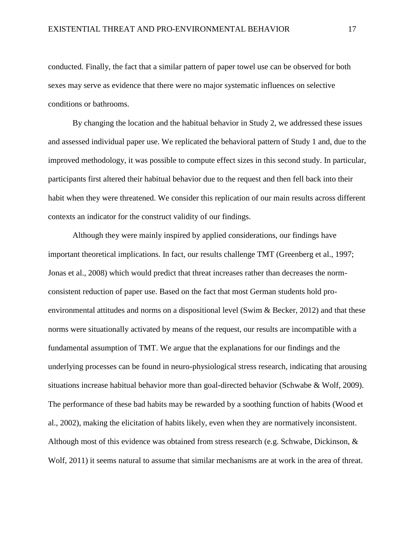conducted. Finally, the fact that a similar pattern of paper towel use can be observed for both sexes may serve as evidence that there were no major systematic influences on selective conditions or bathrooms.

By changing the location and the habitual behavior in Study 2, we addressed these issues and assessed individual paper use. We replicated the behavioral pattern of Study 1 and, due to the improved methodology, it was possible to compute effect sizes in this second study. In particular, participants first altered their habitual behavior due to the request and then fell back into their habit when they were threatened. We consider this replication of our main results across different contexts an indicator for the construct validity of our findings.

Although they were mainly inspired by applied considerations, our findings have important theoretical implications. In fact, our results challenge TMT (Greenberg et al., 1997; Jonas et al., 2008) which would predict that threat increases rather than decreases the normconsistent reduction of paper use. Based on the fact that most German students hold proenvironmental attitudes and norms on a dispositional level (Swim & Becker, 2012) and that these norms were situationally activated by means of the request, our results are incompatible with a fundamental assumption of TMT. We argue that the explanations for our findings and the underlying processes can be found in neuro-physiological stress research, indicating that arousing situations increase habitual behavior more than goal-directed behavior (Schwabe & Wolf, 2009). The performance of these bad habits may be rewarded by a soothing function of habits (Wood et al., 2002), making the elicitation of habits likely, even when they are normatively inconsistent. Although most of this evidence was obtained from stress research (e.g. Schwabe, Dickinson,  $\&$ Wolf, 2011) it seems natural to assume that similar mechanisms are at work in the area of threat.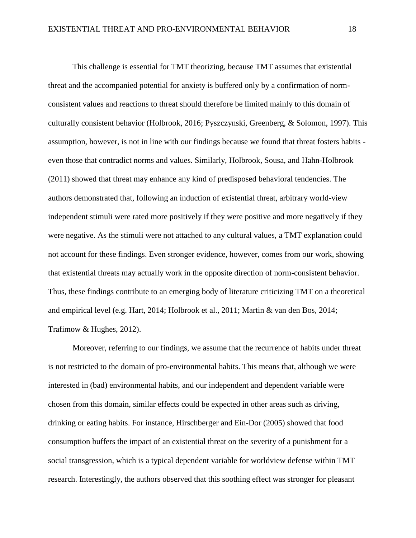This challenge is essential for TMT theorizing, because TMT assumes that existential threat and the accompanied potential for anxiety is buffered only by a confirmation of normconsistent values and reactions to threat should therefore be limited mainly to this domain of culturally consistent behavior (Holbrook, 2016; Pyszczynski, Greenberg, & Solomon, 1997). This assumption, however, is not in line with our findings because we found that threat fosters habits even those that contradict norms and values. Similarly, Holbrook, Sousa, and Hahn-Holbrook (2011) showed that threat may enhance any kind of predisposed behavioral tendencies. The authors demonstrated that, following an induction of existential threat, arbitrary world-view independent stimuli were rated more positively if they were positive and more negatively if they were negative. As the stimuli were not attached to any cultural values, a TMT explanation could not account for these findings. Even stronger evidence, however, comes from our work, showing that existential threats may actually work in the opposite direction of norm-consistent behavior. Thus, these findings contribute to an emerging body of literature criticizing TMT on a theoretical and empirical level (e.g. Hart, 2014; Holbrook et al., 2011; Martin & van den Bos, 2014; Trafimow & Hughes, 2012).

Moreover, referring to our findings, we assume that the recurrence of habits under threat is not restricted to the domain of pro-environmental habits. This means that, although we were interested in (bad) environmental habits, and our independent and dependent variable were chosen from this domain, similar effects could be expected in other areas such as driving, drinking or eating habits. For instance, Hirschberger and Ein-Dor (2005) showed that food consumption buffers the impact of an existential threat on the severity of a punishment for a social transgression, which is a typical dependent variable for worldview defense within TMT research. Interestingly, the authors observed that this soothing effect was stronger for pleasant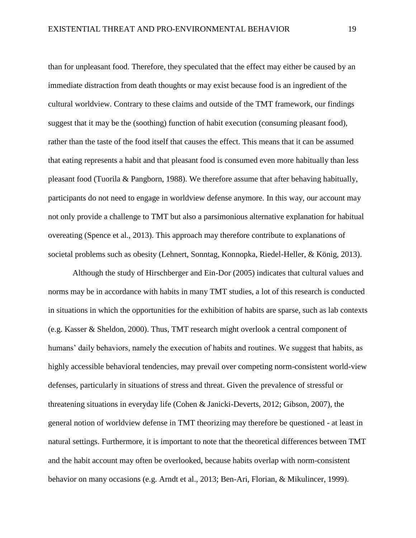than for unpleasant food. Therefore, they speculated that the effect may either be caused by an immediate distraction from death thoughts or may exist because food is an ingredient of the cultural worldview. Contrary to these claims and outside of the TMT framework, our findings suggest that it may be the (soothing) function of habit execution (consuming pleasant food), rather than the taste of the food itself that causes the effect. This means that it can be assumed that eating represents a habit and that pleasant food is consumed even more habitually than less pleasant food (Tuorila & Pangborn, 1988). We therefore assume that after behaving habitually, participants do not need to engage in worldview defense anymore. In this way, our account may not only provide a challenge to TMT but also a parsimonious alternative explanation for habitual overeating (Spence et al., 2013). This approach may therefore contribute to explanations of societal problems such as obesity (Lehnert, Sonntag, Konnopka, Riedel-Heller, & König, 2013).

Although the study of Hirschberger and Ein-Dor (2005) indicates that cultural values and norms may be in accordance with habits in many TMT studies, a lot of this research is conducted in situations in which the opportunities for the exhibition of habits are sparse, such as lab contexts (e.g. Kasser & Sheldon, 2000). Thus, TMT research might overlook a central component of humans' daily behaviors, namely the execution of habits and routines. We suggest that habits, as highly accessible behavioral tendencies, may prevail over competing norm-consistent world-view defenses, particularly in situations of stress and threat. Given the prevalence of stressful or threatening situations in everyday life (Cohen & Janicki-Deverts, 2012; Gibson, 2007), the general notion of worldview defense in TMT theorizing may therefore be questioned - at least in natural settings. Furthermore, it is important to note that the theoretical differences between TMT and the habit account may often be overlooked, because habits overlap with norm-consistent behavior on many occasions (e.g. Arndt et al., 2013; Ben-Ari, Florian, & Mikulincer, 1999).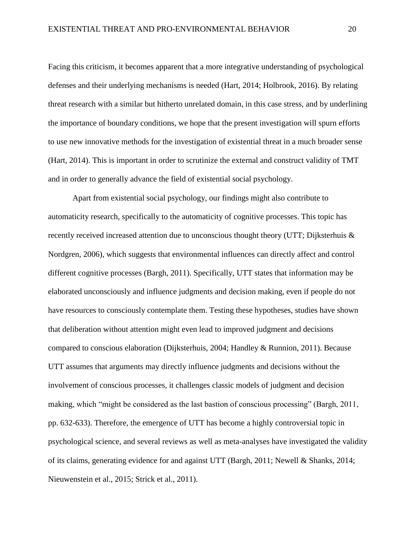Facing this criticism, it becomes apparent that a more integrative understanding of psychological defenses and their underlying mechanisms is needed (Hart, 2014; Holbrook, 2016). By relating threat research with a similar but hitherto unrelated domain, in this case stress, and by underlining the importance of boundary conditions, we hope that the present investigation will spurn efforts to use new innovative methods for the investigation of existential threat in a much broader sense (Hart, 2014). This is important in order to scrutinize the external and construct validity of TMT and in order to generally advance the field of existential social psychology.

Apart from existential social psychology, our findings might also contribute to automaticity research, specifically to the automaticity of cognitive processes. This topic has recently received increased attention due to unconscious thought theory (UTT; Dijksterhuis & Nordgren, 2006), which suggests that environmental influences can directly affect and control different cognitive processes (Bargh, 2011). Specifically, UTT states that information may be elaborated unconsciously and influence judgments and decision making, even if people do not have resources to consciously contemplate them. Testing these hypotheses, studies have shown that deliberation without attention might even lead to improved judgment and decisions compared to conscious elaboration (Dijksterhuis, 2004; Handley & Runnion, 2011). Because UTT assumes that arguments may directly influence judgments and decisions without the involvement of conscious processes, it challenges classic models of judgment and decision making, which "might be considered as the last bastion of conscious processing" (Bargh, 2011, pp. 632-633). Therefore, the emergence of UTT has become a highly controversial topic in psychological science, and several reviews as well as meta-analyses have investigated the validity of its claims, generating evidence for and against UTT (Bargh, 2011; Newell & Shanks, 2014; Nieuwenstein et al., 2015; Strick et al., 2011).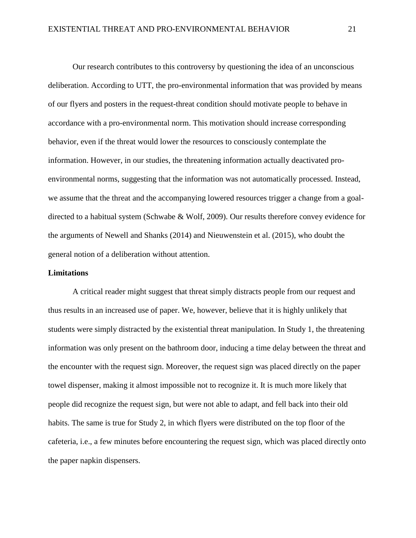Our research contributes to this controversy by questioning the idea of an unconscious deliberation. According to UTT, the pro-environmental information that was provided by means of our flyers and posters in the request-threat condition should motivate people to behave in accordance with a pro-environmental norm. This motivation should increase corresponding behavior, even if the threat would lower the resources to consciously contemplate the information. However, in our studies, the threatening information actually deactivated proenvironmental norms, suggesting that the information was not automatically processed. Instead, we assume that the threat and the accompanying lowered resources trigger a change from a goaldirected to a habitual system (Schwabe & Wolf, 2009). Our results therefore convey evidence for the arguments of Newell and Shanks (2014) and Nieuwenstein et al. (2015), who doubt the general notion of a deliberation without attention.

### **Limitations**

A critical reader might suggest that threat simply distracts people from our request and thus results in an increased use of paper. We, however, believe that it is highly unlikely that students were simply distracted by the existential threat manipulation. In Study 1, the threatening information was only present on the bathroom door, inducing a time delay between the threat and the encounter with the request sign. Moreover, the request sign was placed directly on the paper towel dispenser, making it almost impossible not to recognize it. It is much more likely that people did recognize the request sign, but were not able to adapt, and fell back into their old habits. The same is true for Study 2, in which flyers were distributed on the top floor of the cafeteria, i.e., a few minutes before encountering the request sign, which was placed directly onto the paper napkin dispensers.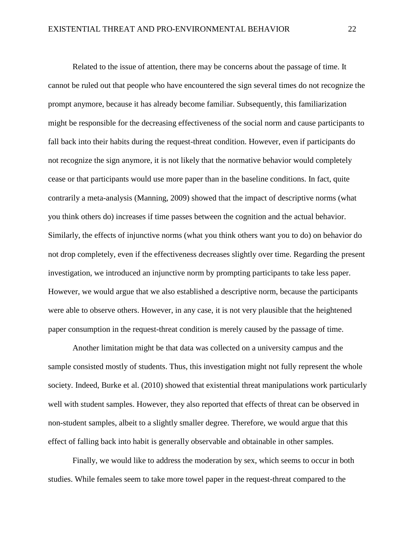Related to the issue of attention, there may be concerns about the passage of time. It cannot be ruled out that people who have encountered the sign several times do not recognize the prompt anymore, because it has already become familiar. Subsequently, this familiarization might be responsible for the decreasing effectiveness of the social norm and cause participants to fall back into their habits during the request-threat condition. However, even if participants do not recognize the sign anymore, it is not likely that the normative behavior would completely cease or that participants would use more paper than in the baseline conditions. In fact, quite contrarily a meta-analysis (Manning, 2009) showed that the impact of descriptive norms (what you think others do) increases if time passes between the cognition and the actual behavior. Similarly, the effects of injunctive norms (what you think others want you to do) on behavior do not drop completely, even if the effectiveness decreases slightly over time. Regarding the present investigation, we introduced an injunctive norm by prompting participants to take less paper. However, we would argue that we also established a descriptive norm, because the participants were able to observe others. However, in any case, it is not very plausible that the heightened paper consumption in the request-threat condition is merely caused by the passage of time.

Another limitation might be that data was collected on a university campus and the sample consisted mostly of students. Thus, this investigation might not fully represent the whole society. Indeed, Burke et al. (2010) showed that existential threat manipulations work particularly well with student samples. However, they also reported that effects of threat can be observed in non-student samples, albeit to a slightly smaller degree. Therefore, we would argue that this effect of falling back into habit is generally observable and obtainable in other samples.

Finally, we would like to address the moderation by sex, which seems to occur in both studies. While females seem to take more towel paper in the request-threat compared to the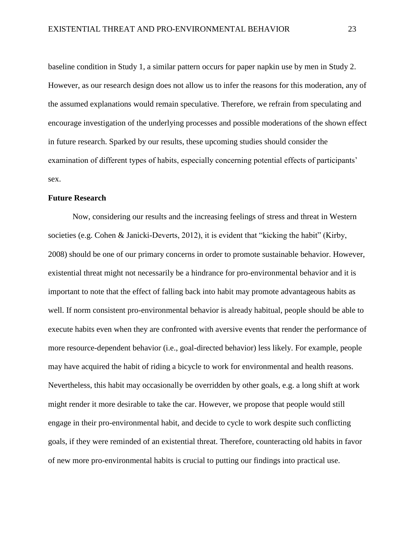baseline condition in Study 1, a similar pattern occurs for paper napkin use by men in Study 2. However, as our research design does not allow us to infer the reasons for this moderation, any of the assumed explanations would remain speculative. Therefore, we refrain from speculating and encourage investigation of the underlying processes and possible moderations of the shown effect in future research. Sparked by our results, these upcoming studies should consider the examination of different types of habits, especially concerning potential effects of participants' sex.

#### **Future Research**

Now, considering our results and the increasing feelings of stress and threat in Western societies (e.g. Cohen & Janicki-Deverts, 2012), it is evident that "kicking the habit" (Kirby, 2008) should be one of our primary concerns in order to promote sustainable behavior. However, existential threat might not necessarily be a hindrance for pro-environmental behavior and it is important to note that the effect of falling back into habit may promote advantageous habits as well. If norm consistent pro-environmental behavior is already habitual, people should be able to execute habits even when they are confronted with aversive events that render the performance of more resource-dependent behavior (i.e., goal-directed behavior) less likely. For example, people may have acquired the habit of riding a bicycle to work for environmental and health reasons. Nevertheless, this habit may occasionally be overridden by other goals, e.g. a long shift at work might render it more desirable to take the car. However, we propose that people would still engage in their pro-environmental habit, and decide to cycle to work despite such conflicting goals, if they were reminded of an existential threat. Therefore, counteracting old habits in favor of new more pro-environmental habits is crucial to putting our findings into practical use.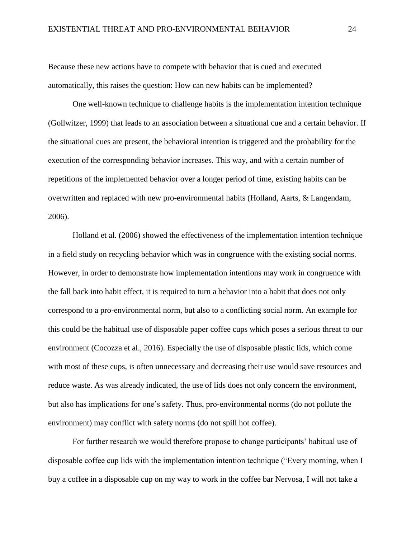Because these new actions have to compete with behavior that is cued and executed automatically, this raises the question: How can new habits can be implemented?

One well-known technique to challenge habits is the implementation intention technique (Gollwitzer, 1999) that leads to an association between a situational cue and a certain behavior. If the situational cues are present, the behavioral intention is triggered and the probability for the execution of the corresponding behavior increases. This way, and with a certain number of repetitions of the implemented behavior over a longer period of time, existing habits can be overwritten and replaced with new pro-environmental habits (Holland, Aarts, & Langendam, 2006).

Holland et al. (2006) showed the effectiveness of the implementation intention technique in a field study on recycling behavior which was in congruence with the existing social norms. However, in order to demonstrate how implementation intentions may work in congruence with the fall back into habit effect, it is required to turn a behavior into a habit that does not only correspond to a pro-environmental norm, but also to a conflicting social norm. An example for this could be the habitual use of disposable paper coffee cups which poses a serious threat to our environment (Cocozza et al., 2016). Especially the use of disposable plastic lids, which come with most of these cups, is often unnecessary and decreasing their use would save resources and reduce waste. As was already indicated, the use of lids does not only concern the environment, but also has implications for one's safety. Thus, pro-environmental norms (do not pollute the environment) may conflict with safety norms (do not spill hot coffee).

For further research we would therefore propose to change participants' habitual use of disposable coffee cup lids with the implementation intention technique ("Every morning, when I buy a coffee in a disposable cup on my way to work in the coffee bar Nervosa, I will not take a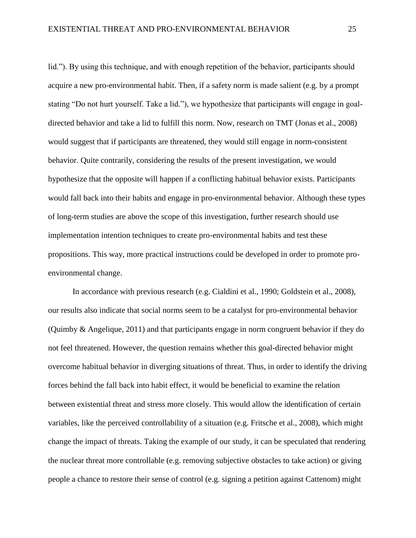lid."). By using this technique, and with enough repetition of the behavior, participants should acquire a new pro-environmental habit. Then, if a safety norm is made salient (e.g. by a prompt stating "Do not hurt yourself. Take a lid."), we hypothesize that participants will engage in goaldirected behavior and take a lid to fulfill this norm. Now, research on TMT (Jonas et al., 2008) would suggest that if participants are threatened, they would still engage in norm-consistent behavior. Quite contrarily, considering the results of the present investigation, we would hypothesize that the opposite will happen if a conflicting habitual behavior exists. Participants would fall back into their habits and engage in pro-environmental behavior. Although these types of long-term studies are above the scope of this investigation, further research should use implementation intention techniques to create pro-environmental habits and test these propositions. This way, more practical instructions could be developed in order to promote proenvironmental change.

In accordance with previous research (e.g. Cialdini et al., 1990; Goldstein et al., 2008), our results also indicate that social norms seem to be a catalyst for pro-environmental behavior (Quimby & Angelique, 2011) and that participants engage in norm congruent behavior if they do not feel threatened. However, the question remains whether this goal-directed behavior might overcome habitual behavior in diverging situations of threat. Thus, in order to identify the driving forces behind the fall back into habit effect, it would be beneficial to examine the relation between existential threat and stress more closely. This would allow the identification of certain variables, like the perceived controllability of a situation (e.g. Fritsche et al., 2008), which might change the impact of threats. Taking the example of our study, it can be speculated that rendering the nuclear threat more controllable (e.g. removing subjective obstacles to take action) or giving people a chance to restore their sense of control (e.g. signing a petition against Cattenom) might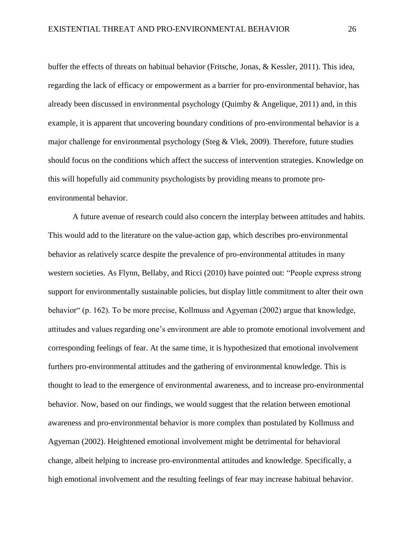buffer the effects of threats on habitual behavior (Fritsche, Jonas, & Kessler, 2011). This idea, regarding the lack of efficacy or empowerment as a barrier for pro-environmental behavior, has already been discussed in environmental psychology (Quimby & Angelique, 2011) and, in this example, it is apparent that uncovering boundary conditions of pro-environmental behavior is a major challenge for environmental psychology (Steg & Vlek, 2009). Therefore, future studies should focus on the conditions which affect the success of intervention strategies. Knowledge on this will hopefully aid community psychologists by providing means to promote proenvironmental behavior.

A future avenue of research could also concern the interplay between attitudes and habits. This would add to the literature on the value-action gap, which describes pro-environmental behavior as relatively scarce despite the prevalence of pro-environmental attitudes in many western societies. As Flynn, Bellaby, and Ricci (2010) have pointed out: "People express strong support for environmentally sustainable policies, but display little commitment to alter their own behavior" (p. 162). To be more precise, Kollmuss and Agyeman (2002) argue that knowledge, attitudes and values regarding one's environment are able to promote emotional involvement and corresponding feelings of fear. At the same time, it is hypothesized that emotional involvement furthers pro-environmental attitudes and the gathering of environmental knowledge. This is thought to lead to the emergence of environmental awareness, and to increase pro-environmental behavior. Now, based on our findings, we would suggest that the relation between emotional awareness and pro-environmental behavior is more complex than postulated by Kollmuss and Agyeman (2002). Heightened emotional involvement might be detrimental for behavioral change, albeit helping to increase pro-environmental attitudes and knowledge. Specifically, a high emotional involvement and the resulting feelings of fear may increase habitual behavior.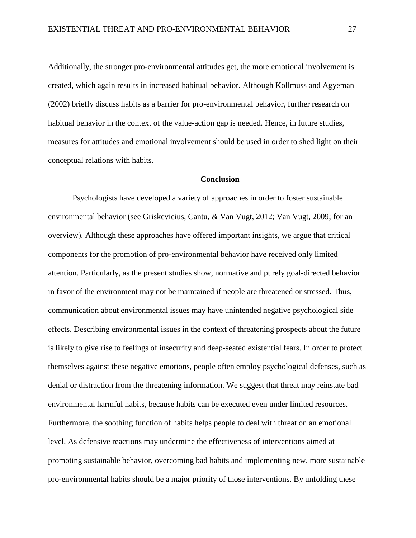Additionally, the stronger pro-environmental attitudes get, the more emotional involvement is created, which again results in increased habitual behavior. Although Kollmuss and Agyeman (2002) briefly discuss habits as a barrier for pro-environmental behavior, further research on habitual behavior in the context of the value-action gap is needed. Hence, in future studies, measures for attitudes and emotional involvement should be used in order to shed light on their conceptual relations with habits.

## **Conclusion**

Psychologists have developed a variety of approaches in order to foster sustainable environmental behavior (see Griskevicius, Cantu, & Van Vugt, 2012; Van Vugt, 2009; for an overview). Although these approaches have offered important insights, we argue that critical components for the promotion of pro-environmental behavior have received only limited attention. Particularly, as the present studies show, normative and purely goal-directed behavior in favor of the environment may not be maintained if people are threatened or stressed. Thus, communication about environmental issues may have unintended negative psychological side effects. Describing environmental issues in the context of threatening prospects about the future is likely to give rise to feelings of insecurity and deep-seated existential fears. In order to protect themselves against these negative emotions, people often employ psychological defenses, such as denial or distraction from the threatening information. We suggest that threat may reinstate bad environmental harmful habits, because habits can be executed even under limited resources. Furthermore, the soothing function of habits helps people to deal with threat on an emotional level. As defensive reactions may undermine the effectiveness of interventions aimed at promoting sustainable behavior, overcoming bad habits and implementing new, more sustainable pro-environmental habits should be a major priority of those interventions. By unfolding these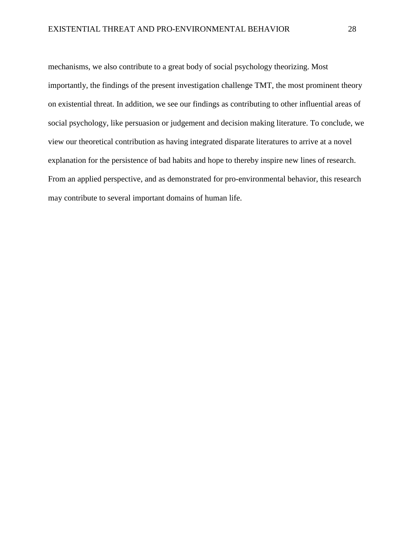mechanisms, we also contribute to a great body of social psychology theorizing. Most importantly, the findings of the present investigation challenge TMT, the most prominent theory on existential threat. In addition, we see our findings as contributing to other influential areas of social psychology, like persuasion or judgement and decision making literature. To conclude, we view our theoretical contribution as having integrated disparate literatures to arrive at a novel explanation for the persistence of bad habits and hope to thereby inspire new lines of research. From an applied perspective, and as demonstrated for pro-environmental behavior, this research may contribute to several important domains of human life.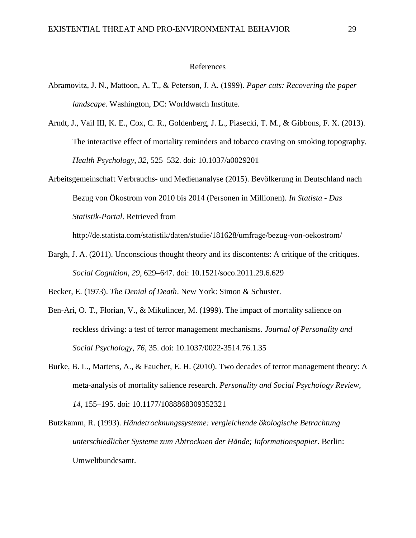#### References

- Abramovitz, J. N., Mattoon, A. T., & Peterson, J. A. (1999). *Paper cuts: Recovering the paper landscape.* Washington, DC: Worldwatch Institute.
- Arndt, J., Vail III, K. E., Cox, C. R., Goldenberg, J. L., Piasecki, T. M., & Gibbons, F. X. (2013). The interactive effect of mortality reminders and tobacco craving on smoking topography. *Health Psychology*, *32*, 525–532. doi: 10.1037/a0029201
- Arbeitsgemeinschaft Verbrauchs- und Medienanalyse (2015). Bevölkerung in Deutschland nach Bezug von Ökostrom von 2010 bis 2014 (Personen in Millionen). *In Statista - Das Statistik-Portal*. Retrieved from

http://de.statista.com/statistik/daten/studie/181628/umfrage/bezug-von-oekostrom/

Bargh, J. A. (2011). Unconscious thought theory and its discontents: A critique of the critiques. *Social Cognition, 29*, 629–647. doi: 10.1521/soco.2011.29.6.629

Becker, E. (1973). *The Denial of Death*. New York: Simon & Schuster.

- Ben-Ari, O. T., Florian, V., & Mikulincer, M. (1999). The impact of mortality salience on reckless driving: a test of terror management mechanisms. *Journal of Personality and Social Psychology, 76*, 35. doi: 10.1037/0022-3514.76.1.35
- Burke, B. L., Martens, A., & Faucher, E. H. (2010). Two decades of terror management theory: A meta-analysis of mortality salience research. *Personality and Social Psychology Review, 14*, 155–195. doi: 10.1177/1088868309352321
- Butzkamm, R. (1993). *Händetrocknungssysteme: vergleichende ökologische Betrachtung unterschiedlicher Systeme zum Abtrocknen der Hände; Informationspapier*. Berlin: Umweltbundesamt.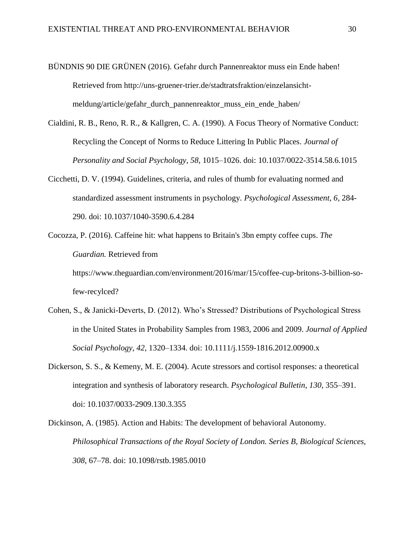- BÜNDNIS 90 DIE GRÜNEN (2016). Gefahr durch Pannenreaktor muss ein Ende haben! Retrieved from http://uns-gruener-trier.de/stadtratsfraktion/einzelansichtmeldung/article/gefahr\_durch\_pannenreaktor\_muss\_ein\_ende\_haben/
- Cialdini, R. B., Reno, R. R., & Kallgren, C. A. (1990). A Focus Theory of Normative Conduct: Recycling the Concept of Norms to Reduce Littering In Public Places. *Journal of Personality and Social Psychology, 58*, 1015–1026. doi: 10.1037/0022-3514.58.6.1015
- Cicchetti, D. V. (1994). Guidelines, criteria, and rules of thumb for evaluating normed and standardized assessment instruments in psychology. *Psychological Assessment, 6,* 284- 290. doi: 10.1037/1040-3590.6.4.284
- Cocozza, P. (2016). Caffeine hit: what happens to Britain's 3bn empty coffee cups. *The Guardian.* Retrieved from https://www.theguardian.com/environment/2016/mar/15/coffee-cup-britons-3-billion-sofew-recylced?
- Cohen, S., & Janicki-Deverts, D. (2012). Who's Stressed? Distributions of Psychological Stress in the United States in Probability Samples from 1983, 2006 and 2009. *Journal of Applied Social Psychology, 42*, 1320–1334. doi: 10.1111/j.1559-1816.2012.00900.x
- Dickerson, S. S., & Kemeny, M. E. (2004). Acute stressors and cortisol responses: a theoretical integration and synthesis of laboratory research. *Psychological Bulletin*, *130*, 355–391. doi: [10.1037/0033-2909.130.3.355](http://psycnet.apa.org/doi/10.1037/0033-2909.130.3.355)
- Dickinson, A. (1985). Action and Habits: The development of behavioral Autonomy. *Philosophical Transactions of the Royal Society of London. Series B, Biological Sciences, 308*, 67–78. doi: 10.1098/rstb.1985.0010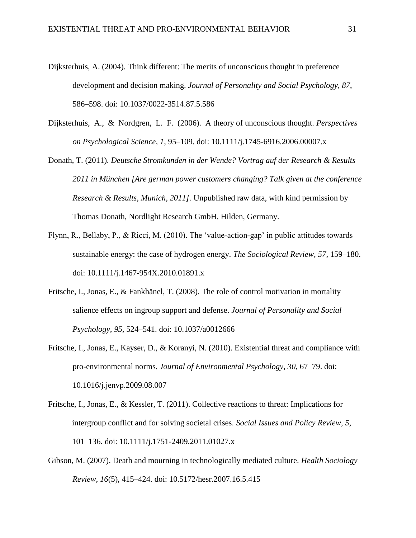- Dijksterhuis, A. (2004). Think different: The merits of unconscious thought in preference development and decision making. *Journal of Personality and Social Psychology, 87*, 586–598. doi: 10.1037/0022-3514.87.5.586
- Dijksterhuis, A., & Nordgren, L. F. (2006). A theory of unconscious thought. *Perspectives on Psychological Science, 1*, 95–109. doi: 10.1111/j.1745-6916.2006.00007.x
- Donath, T. (2011). *Deutsche Stromkunden in der Wende? Vortrag auf der Research & Results 2011 in München [Are german power customers changing? Talk given at the conference Research & Results, Munich, 2011].* Unpublished raw data, with kind permission by Thomas Donath, Nordlight Research GmbH, Hilden, Germany.
- Flynn, R., Bellaby, P., & Ricci, M. (2010). The 'value-action-gap' in public attitudes towards sustainable energy: the case of hydrogen energy. *The Sociological Review, 57*, 159–180. doi: 10.1111/j.1467-954X.2010.01891.x
- Fritsche, I., Jonas, E., & Fankhänel, T. (2008). The role of control motivation in mortality salience effects on ingroup support and defense. *Journal of Personality and Social Psychology, 95*, 524–541. doi: [10.1037/a0012666](http://dx.doi.org/10.1037/a0012666)
- Fritsche, I., Jonas, E., Kayser, D., & Koranyi, N. (2010). Existential threat and compliance with pro-environmental norms. *Journal of Environmental Psychology, 30*, 67–79. doi: 10.1016/j.jenvp.2009.08.007
- Fritsche, I., Jonas, E., & Kessler, T. (2011). Collective reactions to threat: Implications for intergroup conflict and for solving societal crises. *Social Issues and Policy Review, 5*, 101–136. doi: 10.1111/j.1751-2409.2011.01027.x
- Gibson, M. (2007). Death and mourning in technologically mediated culture. *Health Sociology Review, 16*(5), 415–424. doi: 10.5172/hesr.2007.16.5.415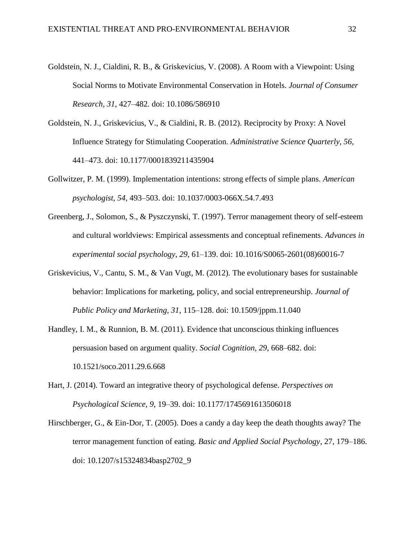- Goldstein, N. J., Cialdini, R. B., & Griskevicius, V. (2008). A Room with a Viewpoint: Using Social Norms to Motivate Environmental Conservation in Hotels. *Journal of Consumer Research, 31*, 427–482. doi: 10.1086/586910
- Goldstein, N. J., Griskevicius, V., & Cialdini, R. B. (2012). Reciprocity by Proxy: A Novel Influence Strategy for Stimulating Cooperation. *Administrative Science Quarterly, 56*, 441–473. doi: 10.1177/0001839211435904
- Gollwitzer, P. M. (1999). Implementation intentions: strong effects of simple plans. *American psychologist, 54*, 493–503. doi: [10.1037/0003-066X.54.7.493](http://psycnet.apa.org/doi/10.1037/0003-066X.54.7.493)
- Greenberg, J., Solomon, S., & Pyszczynski, T. (1997). Terror management theory of self-esteem and cultural worldviews: Empirical assessments and conceptual refinements. *Advances in experimental social psychology*, *29*, 61–139. doi: 10.1016/S0065-2601(08)60016-7
- Griskevicius, V., Cantu, S. M., & Van Vugt, M. (2012). The evolutionary bases for sustainable behavior: Implications for marketing, policy, and social entrepreneurship. *Journal of Public Policy and Marketing, 31*, 115–128. doi: 10.1509/jppm.11.040
- Handley, I. M., & Runnion, B. M. (2011). Evidence that unconscious thinking influences persuasion based on argument quality*. Social Cognition, 29*, 668–682. doi: 10.1521/soco.2011.29.6.668
- Hart, J. (2014). Toward an integrative theory of psychological defense. *Perspectives on Psychological Science, 9*, 19–39. doi: 10.1177/1745691613506018
- Hirschberger, G., & Ein-Dor, T. (2005). Does a candy a day keep the death thoughts away? The terror management function of eating. *Basic and Applied Social Psychology*, 27, 179–186. doi: 10.1207/s15324834basp2702\_9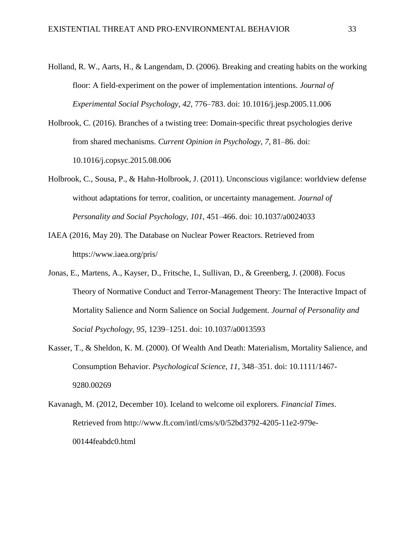- Holland, R. W., Aarts, H., & Langendam, D. (2006). Breaking and creating habits on the working floor: A field-experiment on the power of implementation intentions. *Journal of Experimental Social Psychology, 42*, 776–783. doi: 10.1016/j.jesp.2005.11.006
- Holbrook, C. (2016). Branches of a twisting tree: Domain-specific threat psychologies derive from shared mechanisms. *Current Opinion in Psychology, 7*, 81–86. doi: 10.1016/j.copsyc.2015.08.006
- Holbrook, C., Sousa, P., & Hahn-Holbrook, J. (2011). Unconscious vigilance: worldview defense without adaptations for terror, coalition, or uncertainty management. *Journal of Personality and Social Psychology, 101*, 451–466. doi: 10.1037/a0024033
- IAEA (2016, May 20). The Database on Nuclear Power Reactors. Retrieved from https://www.iaea.org/pris/
- Jonas, E., Martens, A., Kayser, D., Fritsche, I., Sullivan, D., & Greenberg, J. (2008). Focus Theory of Normative Conduct and Terror-Management Theory: The Interactive Impact of Mortality Salience and Norm Salience on Social Judgement. *Journal of Personality and Social Psychology, 95*, 1239–1251. doi: 10.1037/a0013593
- Kasser, T., & Sheldon, K. M. (2000). Of Wealth And Death: Materialism, Mortality Salience, and Consumption Behavior. *Psychological Science, 11*, 348–351. doi: 10.1111/1467- 9280.00269
- Kavanagh, M. (2012, December 10). Iceland to welcome oil explorers. *Financial Times*. Retrieved from http://www.ft.com/intl/cms/s/0/52bd3792-4205-11e2-979e-00144feabdc0.html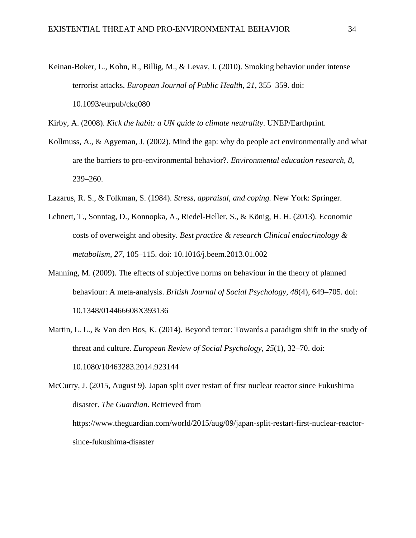Keinan-Boker, L., Kohn, R., Billig, M., & Levav, I. (2010). Smoking behavior under intense terrorist attacks. *European Journal of Public Health, 21*, 355–359. doi: 10.1093/eurpub/ckq080

Kirby, A. (2008). *Kick the habit: a UN guide to climate neutrality*. UNEP/Earthprint.

- Kollmuss, A., & Agyeman, J. (2002). Mind the gap: why do people act environmentally and what are the barriers to pro-environmental behavior?. *Environmental education research, 8*, 239–260.
- Lazarus, R. S., & Folkman, S. (1984). *Stress, appraisal, and coping.* New York: Springer.
- Lehnert, T., Sonntag, D., Konnopka, A., Riedel-Heller, S., & König, H. H. (2013). Economic costs of overweight and obesity. *Best practice & research Clinical endocrinology & metabolism, 27*, 105–115. doi: [10.1016/j.beem.2013.01.002](http://dx.doi.org/10.1016/j.beem.2013.01.002)
- Manning, M. (2009). The effects of subjective norms on behaviour in the theory of planned behaviour: A meta‐analysis. *British Journal of Social Psychology*, *48*(4), 649–705. doi: 10.1348/014466608X393136
- Martin, L. L., & Van den Bos, K. (2014). Beyond terror: Towards a paradigm shift in the study of threat and culture. *European Review of Social Psychology*, *25*(1), 32–70. doi: 10.1080/10463283.2014.923144

McCurry, J. (2015, August 9). Japan split over restart of first nuclear reactor since Fukushima disaster. *The Guardian*. Retrieved from https://www.theguardian.com/world/2015/aug/09/japan-split-restart-first-nuclear-reactorsince-fukushima-disaster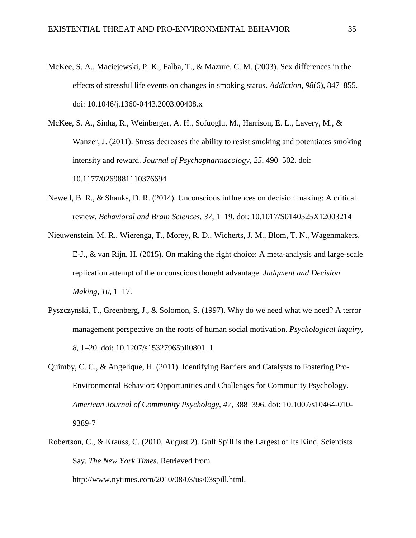- McKee, S. A., Maciejewski, P. K., Falba, T., & Mazure, C. M. (2003). Sex differences in the effects of stressful life events on changes in smoking status. *Addiction*, *98*(6), 847–855. doi: 10.1046/j.1360-0443.2003.00408.x
- McKee, S. A., Sinha, R., Weinberger, A. H., Sofuoglu, M., Harrison, E. L., Lavery, M., & Wanzer, J. (2011). Stress decreases the ability to resist smoking and potentiates smoking intensity and reward. *Journal of Psychopharmacology*, *25*, 490–502. doi: 10.1177/0269881110376694
- Newell, B. R., & Shanks, D. R. (2014). Unconscious influences on decision making: A critical review. *Behavioral and Brain Sciences, 37,* 1–19. doi: 10.1017/S0140525X12003214
- Nieuwenstein, M. R., Wierenga, T., Morey, R. D., Wicherts, J. M., Blom, T. N., Wagenmakers, E-J., & van Rijn, H. (2015). On making the right choice: A meta-analysis and large-scale replication attempt of the unconscious thought advantage. *Judgment and Decision Making, 10*, 1–17.
- Pyszczynski, T., Greenberg, J., & Solomon, S. (1997). Why do we need what we need? A terror management perspective on the roots of human social motivation. *Psychological inquiry, 8*, 1–20. doi: [10.1207/s15327965pli0801\\_1](http://dx.doi.org/10.1207/s15327965pli0801_1)
- Quimby, C. C., & Angelique, H. (2011). Identifying Barriers and Catalysts to Fostering Pro‐ Environmental Behavior: Opportunities and Challenges for Community Psychology. *American Journal of Community Psychology, 47*, 388–396. doi: 10.1007/s10464-010- 9389-7
- Robertson, C., & Krauss, C. (2010, August 2). Gulf Spill is the Largest of Its Kind, Scientists Say. *The New York Times*. Retrieved from http://www.nytimes.com/2010/08/03/us/03spill.html.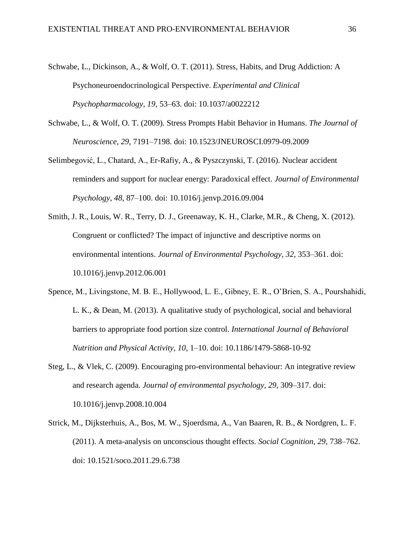- Schwabe, L., Dickinson, A., & Wolf, O. T. (2011). Stress, Habits, and Drug Addiction: A Psychoneuroendocrinological Perspective. *Experimental and Clinical Psychopharmacology, 19*, 53–63. doi: 10.1037/a0022212
- Schwabe, L., & Wolf, O. T. (2009). Stress Prompts Habit Behavior in Humans. *The Journal of Neuroscience, 29*, 7191–7198. doi: 10.1523/JNEUROSCI.0979-09.2009
- Selimbegović, L., Chatard, A., Er-Rafiy, A., & Pyszczynski, T. (2016). Nuclear accident reminders and support for nuclear energy: Paradoxical effect. *Journal of Environmental Psychology*, *48*, 87–100. doi: 10.1016/j.jenvp.2016.09.004
- Smith, J. R., Louis, W. R., Terry, D. J., Greenaway, K. H., Clarke, M.R., & Cheng, X. (2012). Congruent or conflicted? The impact of injunctive and descriptive norms on environmental intentions. *Journal of Environmental Psychology, 32*, 353–361. doi: 10.1016/j.jenvp.2012.06.001
- Spence, M., Livingstone, M. B. E., Hollywood, L. E., Gibney, E. R., O'Brien, S. A., Pourshahidi, L. K., & Dean, M. (2013). A qualitative study of psychological, social and behavioral barriers to appropriate food portion size control. *International Journal of Behavioral Nutrition and Physical Activity, 10*, 1–10. doi: 10.1186/1479-5868-10-92
- Steg, L., & Vlek, C. (2009). Encouraging pro-environmental behaviour: An integrative review and research agenda. *Journal of environmental psychology, 29*, 309–317. doi: [10.1016/j.jenvp.2008.10.004](http://dx.doi.org/10.1016/j.jenvp.2008.10.004)
- Strick, M., Dijksterhuis, A., Bos, M. W., Sjoerdsma, A., Van Baaren, R. B., & Nordgren, L. F. (2011). A meta-analysis on unconscious thought effects. *Social Cognition, 29*, 738–762. doi: 10.1521/soco.2011.29.6.738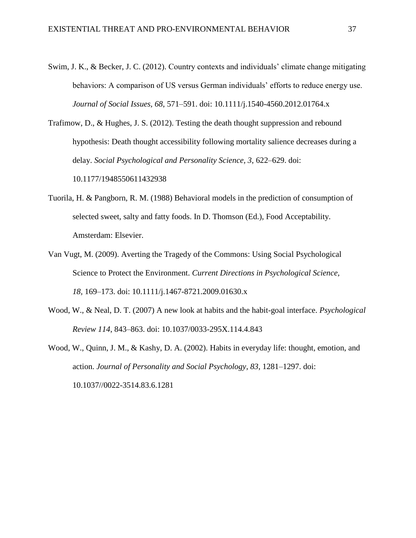- Swim, J. K., & Becker, J. C. (2012). Country contexts and individuals' climate change mitigating behaviors: A comparison of US versus German individuals' efforts to reduce energy use. *Journal of Social Issues, 68*, 571–591. doi: 10.1111/j.1540-4560.2012.01764.x
- Trafimow, D., & Hughes, J. S. (2012). Testing the death thought suppression and rebound hypothesis: Death thought accessibility following mortality salience decreases during a delay. *Social Psychological and Personality Science, 3*, 622–629. doi: 10.1177/1948550611432938
- Tuorila, H. & Pangborn, R. M. (1988) Behavioral models in the prediction of consumption of selected sweet, salty and fatty foods. In D. Thomson (Ed.), Food Acceptability. Amsterdam: Elsevier.
- Van Vugt, M. (2009). Averting the Tragedy of the Commons: Using Social Psychological Science to Protect the Environment. *Current Directions in Psychological Science, 18,* 169–173. doi: 10.1111/j.1467-8721.2009.01630.x
- Wood, W., & Neal, D. T. (2007) A new look at habits and the habit-goal interface. *Psychological Review 114*, 843–863. doi: 10.1037/0033-295X.114.4.843
- Wood, W., Quinn, J. M., & Kashy, D. A. (2002). Habits in everyday life: thought, emotion, and action. *Journal of Personality and Social Psychology, 83*, 1281–1297. doi: 10.1037//0022-3514.83.6.1281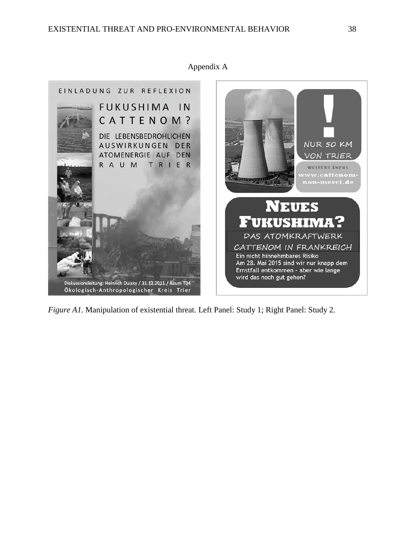

*Figure A1.* Manipulation of existential threat. Left Panel: Study 1; Right Panel: Study 2.

Appendix A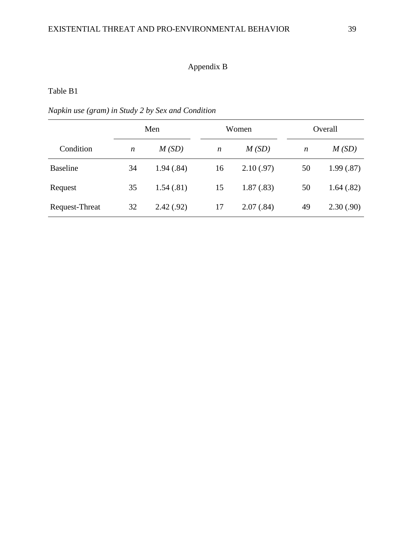# Appendix B

# Table B1

# *Napkin use (gram) in Study 2 by Sex and Condition*

|                 | Men              |            | Women            |            | Overall          |           |
|-----------------|------------------|------------|------------------|------------|------------------|-----------|
| Condition       | $\boldsymbol{n}$ | M(SD)      | $\boldsymbol{n}$ | M(SD)      | $\boldsymbol{n}$ | M(SD)     |
| <b>Baseline</b> | 34               | 1.94(.84)  | 16               | 2.10(0.97) | 50               | 1.99(.87) |
| Request         | 35               | 1.54(0.81) | 15               | 1.87(.83)  | 50               | 1.64(.82) |
| Request-Threat  | 32               | 2.42(.92)  | 17               | 2.07(.84)  | 49               | 2.30(.90) |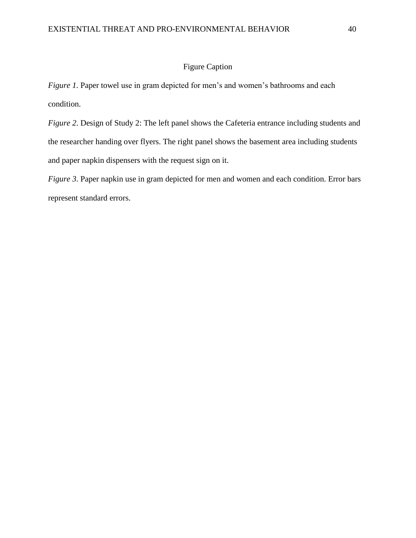## Figure Caption

*Figure 1.* Paper towel use in gram depicted for men's and women's bathrooms and each condition.

*Figure 2*. Design of Study 2: The left panel shows the Cafeteria entrance including students and the researcher handing over flyers. The right panel shows the basement area including students and paper napkin dispensers with the request sign on it.

*Figure 3*. Paper napkin use in gram depicted for men and women and each condition. Error bars represent standard errors.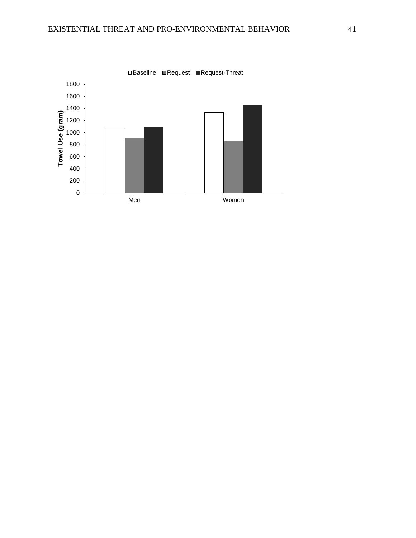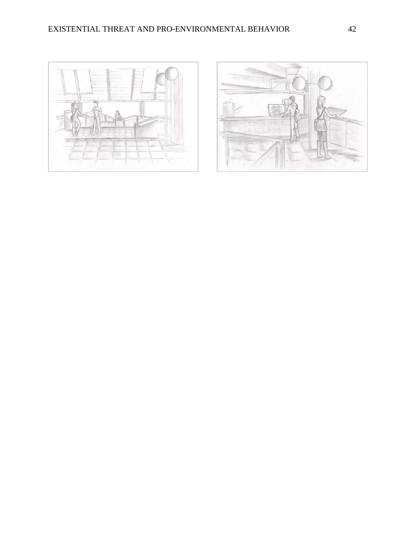